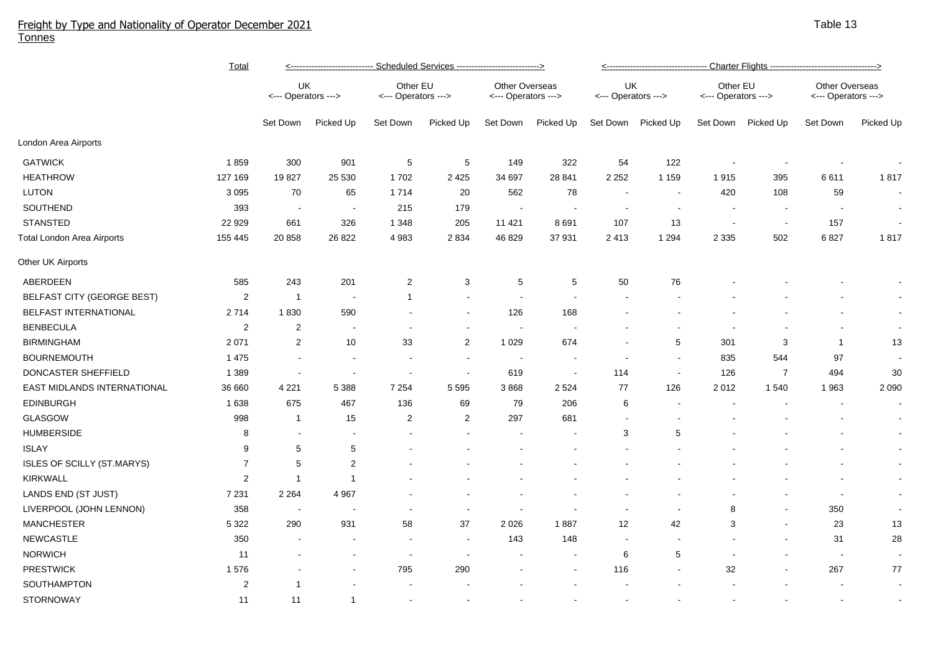## Freight by Type and Nationality of Operator December 2021 Tonnes

|                             | <b>Total</b>   | <---------------------------- Scheduled Services ---------------------------> |                          |                                 |                |                                              |                          | <---------------------------------- Charter Flights --------------------------------->> |                          |                                 |                          |                                              |           |  |
|-----------------------------|----------------|-------------------------------------------------------------------------------|--------------------------|---------------------------------|----------------|----------------------------------------------|--------------------------|-----------------------------------------------------------------------------------------|--------------------------|---------------------------------|--------------------------|----------------------------------------------|-----------|--|
|                             |                | UK<br><--- Operators --->                                                     |                          | Other EU<br><--- Operators ---> |                | <b>Other Overseas</b><br><--- Operators ---> |                          | UK<br><--- Operators --->                                                               |                          | Other EU<br><--- Operators ---> |                          | <b>Other Overseas</b><br><--- Operators ---> |           |  |
|                             |                | Set Down                                                                      | Picked Up                | Set Down                        | Picked Up      | Set Down                                     | Picked Up                | Set Down                                                                                | Picked Up                | Set Down                        | Picked Up                | Set Down                                     | Picked Up |  |
| London Area Airports        |                |                                                                               |                          |                                 |                |                                              |                          |                                                                                         |                          |                                 |                          |                                              |           |  |
| <b>GATWICK</b>              | 1859           | 300                                                                           | 901                      | $\sqrt{5}$                      | 5              | 149                                          | 322                      | 54                                                                                      | 122                      |                                 |                          |                                              |           |  |
| <b>HEATHROW</b>             | 127 169        | 19827                                                                         | 25 530                   | 1702                            | 2425           | 34 697                                       | 28 841                   | 2 2 5 2                                                                                 | 1 1 5 9                  | 1915                            | 395                      | 6611                                         | 1817      |  |
| <b>LUTON</b>                | 3 0 9 5        | 70                                                                            | 65                       | 1714                            | 20             | 562                                          | 78                       | ÷,                                                                                      | $\overline{\phantom{a}}$ | 420                             | 108                      | 59                                           |           |  |
| SOUTHEND                    | 393            |                                                                               |                          | 215                             | 179            |                                              |                          |                                                                                         |                          |                                 |                          |                                              |           |  |
| <b>STANSTED</b>             | 22 9 29        | 661                                                                           | 326                      | 1 3 4 8                         | 205            | 11 421                                       | 8691                     | 107                                                                                     | 13                       |                                 | $\sim$                   | 157                                          |           |  |
| Total London Area Airports  | 155 445        | 20 858                                                                        | 26 822                   | 4 9 8 3                         | 2834           | 46 829                                       | 37 931                   | 2413                                                                                    | 1 2 9 4                  | 2 3 3 5                         | 502                      | 6827                                         | 1817      |  |
| Other UK Airports           |                |                                                                               |                          |                                 |                |                                              |                          |                                                                                         |                          |                                 |                          |                                              |           |  |
| ABERDEEN                    | 585            | 243                                                                           | 201                      | $\overline{2}$                  | 3              | 5                                            | 5                        | 50                                                                                      | 76                       |                                 |                          |                                              |           |  |
| BELFAST CITY (GEORGE BEST)  | $\overline{c}$ | $\overline{1}$                                                                | $\blacksquare$           | $\mathbf 1$                     |                |                                              |                          |                                                                                         |                          |                                 |                          |                                              |           |  |
| BELFAST INTERNATIONAL       | 2714           | 1830                                                                          | 590                      |                                 |                | 126                                          | 168                      |                                                                                         |                          |                                 |                          |                                              | $\sim$    |  |
| <b>BENBECULA</b>            | $\sqrt{2}$     | $\boldsymbol{2}$                                                              |                          |                                 |                |                                              |                          |                                                                                         |                          |                                 |                          |                                              | $\sim$    |  |
| <b>BIRMINGHAM</b>           | 2 0 7 1        | $\boldsymbol{2}$                                                              | 10                       | 33                              | $\overline{c}$ | 1 0 2 9                                      | 674                      |                                                                                         | 5                        | 301                             | 3                        | $\mathbf{1}$                                 | 13        |  |
| <b>BOURNEMOUTH</b>          | 1 4 7 5        |                                                                               | $\blacksquare$           | $\overline{\phantom{a}}$        |                | $\sim$                                       | $\overline{\phantom{a}}$ | $\blacksquare$                                                                          | $\blacksquare$           | 835                             | 544                      | 97                                           |           |  |
| DONCASTER SHEFFIELD         | 1 3 8 9        |                                                                               | $\sim$                   | $\overline{\phantom{a}}$        |                | 619                                          | $\sim$                   | 114                                                                                     | $\sim$                   | 126                             | $\overline{7}$           | 494                                          | $30\,$    |  |
| EAST MIDLANDS INTERNATIONAL | 36 660         | 4 2 2 1                                                                       | 5 3 8 8                  | 7 2 5 4                         | 5 5 9 5        | 3868                                         | 2 5 2 4                  | 77                                                                                      | 126                      | 2012                            | 1540                     | 1963                                         | 2 0 9 0   |  |
| <b>EDINBURGH</b>            | 1 6 3 8        | 675                                                                           | 467                      | 136                             | 69             | 79                                           | 206                      | 6                                                                                       | $\overline{a}$           |                                 |                          |                                              |           |  |
| GLASGOW                     | 998            | $\overline{1}$                                                                | 15                       | $\overline{2}$                  | $\overline{c}$ | 297                                          | 681                      |                                                                                         |                          |                                 |                          |                                              |           |  |
| <b>HUMBERSIDE</b>           | 8              |                                                                               |                          |                                 |                |                                              |                          | 3                                                                                       | 5                        |                                 |                          |                                              |           |  |
| <b>ISLAY</b>                | 9              | 5                                                                             | 5                        |                                 |                |                                              |                          |                                                                                         |                          |                                 |                          |                                              |           |  |
| ISLES OF SCILLY (ST.MARYS)  | $\overline{7}$ | 5                                                                             | $\overline{c}$           |                                 |                |                                              |                          |                                                                                         |                          |                                 |                          |                                              |           |  |
| <b>KIRKWALL</b>             | $\overline{2}$ | -1                                                                            | -1                       |                                 |                |                                              |                          |                                                                                         |                          |                                 |                          |                                              | $\sim$    |  |
| LANDS END (ST JUST)         | 7 2 3 1        | 2 2 6 4                                                                       | 4 9 67                   |                                 |                |                                              |                          |                                                                                         |                          |                                 |                          | $\overline{\phantom{a}}$                     | $\sim$    |  |
| LIVERPOOL (JOHN LENNON)     | 358            | $\sim$                                                                        |                          |                                 |                |                                              |                          |                                                                                         |                          | 8                               | $\overline{\phantom{a}}$ | 350                                          |           |  |
| <b>MANCHESTER</b>           | 5 3 2 2        | 290                                                                           | 931                      | 58                              | 37             | 2 0 2 6                                      | 1887                     | 12                                                                                      | 42                       | 3                               | $\overline{\phantom{a}}$ | 23                                           | 13        |  |
| <b>NEWCASTLE</b>            | 350            |                                                                               | $\overline{\phantom{a}}$ | $\overline{a}$                  |                | 143                                          | 148                      | $\overline{\phantom{a}}$                                                                | $\overline{\phantom{a}}$ |                                 |                          | 31                                           | 28        |  |
| <b>NORWICH</b>              | 11             |                                                                               | $\blacksquare$           | $\overline{\phantom{a}}$        |                |                                              | $\overline{a}$           | 6                                                                                       | 5                        |                                 |                          | $\sim$                                       | $\sim$    |  |
| <b>PRESTWICK</b>            | 1576           |                                                                               |                          | 795                             | 290            |                                              |                          | 116                                                                                     | $\blacksquare$           | 32                              |                          | 267                                          | 77        |  |
| SOUTHAMPTON                 | $\overline{c}$ | 1                                                                             |                          |                                 |                |                                              |                          |                                                                                         |                          |                                 |                          |                                              |           |  |
| <b>STORNOWAY</b>            | 11             | 11                                                                            | $\mathbf{1}$             |                                 |                |                                              |                          |                                                                                         |                          |                                 |                          |                                              |           |  |